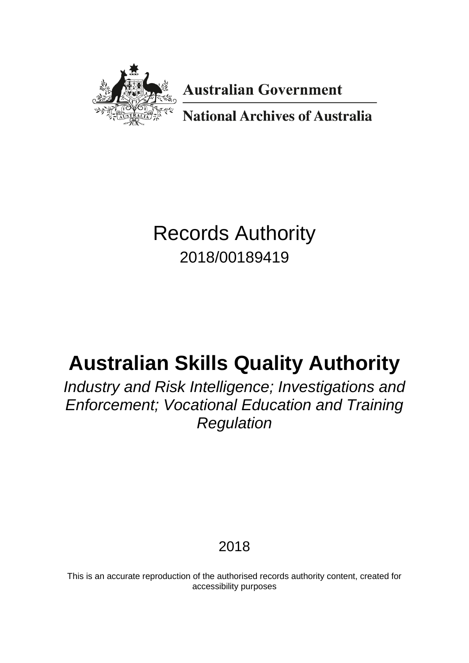

**Australian Government** 

**National Archives of Australia** 

# Records Authority 2018/00189419

# **Australian Skills Quality Authority**

*Industry and Risk Intelligence; Investigations and Enforcement; Vocational Education and Training Regulation*

2018

This is an accurate reproduction of the authorised records authority content, created for accessibility purposes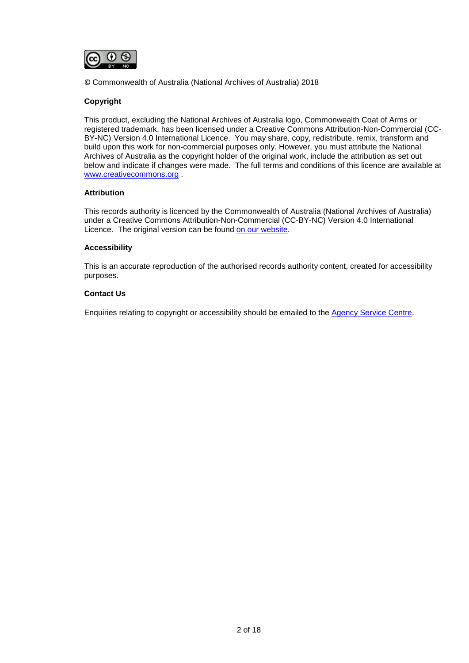

© Commonwealth of Australia (National Archives of Australia) 2018

#### **Copyright**

This product, excluding the National Archives of Australia logo, Commonwealth Coat of Arms or registered trademark, has been licensed under a Creative Commons Attribution-Non-Commercial (CC-BY-NC) Version 4.0 International Licence. You may share, copy, redistribute, remix, transform and build upon this work for non-commercial purposes only. However, you must attribute the National Archives of Australia as the copyright holder of the original work, include the attribution as set out below and indicate if changes were made. The full terms and conditions of this licence are available at [www.creativecommons.org](http://www.creativecommons.org/) .

#### **Attribution**

This records authority is licenced by the Commonwealth of Australia (National Archives of Australia) under a Creative Commons Attribution-Non-Commercial (CC-BY-NC) Version 4.0 International Licence. The original version can be found [on our website.](http://www.naa.gov.au/)

#### **Accessibility**

This is an accurate reproduction of the authorised records authority content, created for accessibility purposes.

#### **Contact Us**

Enquiries relating to copyright or accessibility should be emailed to the [Agency Service Centre.](http://reftracker.naa.gov.au/reft100.aspx?key=ASC)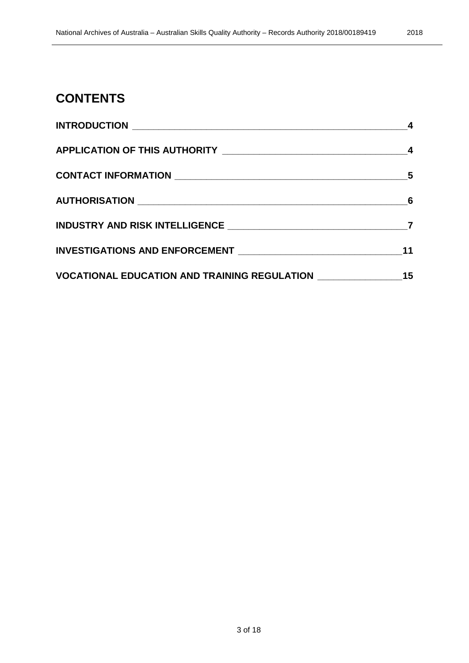### **CONTENTS**

|                                                               | $\sim$ 4 |
|---------------------------------------------------------------|----------|
|                                                               |          |
|                                                               |          |
|                                                               |          |
|                                                               |          |
|                                                               | 11       |
| VOCATIONAL EDUCATION AND TRAINING REGULATION ________________ | 15       |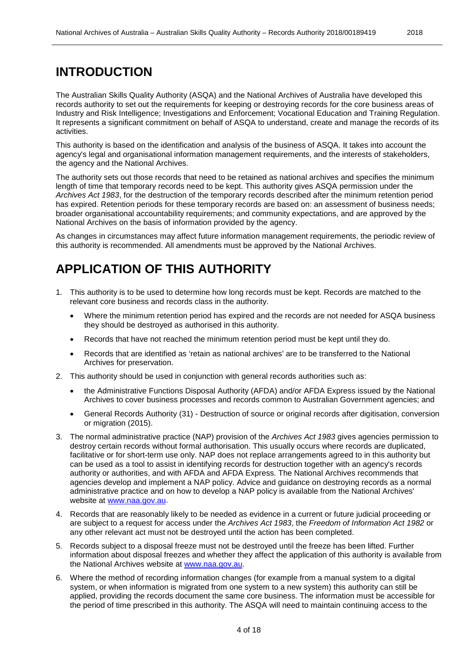### <span id="page-3-0"></span>**INTRODUCTION**

The Australian Skills Quality Authority (ASQA) and the National Archives of Australia have developed this records authority to set out the requirements for keeping or destroying records for the core business areas of Industry and Risk Intelligence; Investigations and Enforcement; Vocational Education and Training Regulation. It represents a significant commitment on behalf of ASQA to understand, create and manage the records of its activities.

This authority is based on the identification and analysis of the business of ASQA. It takes into account the agency's legal and organisational information management requirements, and the interests of stakeholders, the agency and the National Archives.

The authority sets out those records that need to be retained as national archives and specifies the minimum length of time that temporary records need to be kept. This authority gives ASQA permission under the *Archives Act 1983*, for the destruction of the temporary records described after the minimum retention period has expired. Retention periods for these temporary records are based on: an assessment of business needs; broader organisational accountability requirements; and community expectations, and are approved by the National Archives on the basis of information provided by the agency.

As changes in circumstances may affect future information management requirements, the periodic review of this authority is recommended. All amendments must be approved by the National Archives.

### <span id="page-3-1"></span>**APPLICATION OF THIS AUTHORITY**

- 1. This authority is to be used to determine how long records must be kept. Records are matched to the relevant core business and records class in the authority.
	- Where the minimum retention period has expired and the records are not needed for ASQA business they should be destroyed as authorised in this authority.
	- Records that have not reached the minimum retention period must be kept until they do.
	- Records that are identified as 'retain as national archives' are to be transferred to the National Archives for preservation.
- 2. This authority should be used in conjunction with general records authorities such as:
	- the Administrative Functions Disposal Authority (AFDA) and/or AFDA Express issued by the National Archives to cover business processes and records common to Australian Government agencies; and
	- General Records Authority (31) Destruction of source or original records after digitisation, conversion or migration (2015).
- 3. The normal administrative practice (NAP) provision of the *Archives Act 1983* gives agencies permission to destroy certain records without formal authorisation. This usually occurs where records are duplicated, facilitative or for short-term use only. NAP does not replace arrangements agreed to in this authority but can be used as a tool to assist in identifying records for destruction together with an agency's records authority or authorities, and with AFDA and AFDA Express. The National Archives recommends that agencies develop and implement a NAP policy. Advice and guidance on destroying records as a normal administrative practice and on how to develop a NAP policy is available from the National Archives' website at [www.naa.gov.au.](http://www.naa.gov.au/)
- 4. Records that are reasonably likely to be needed as evidence in a current or future judicial proceeding or are subject to a request for access under the *Archives Act 1983*, the *Freedom of Information Act 1982* or any other relevant act must not be destroyed until the action has been completed.
- 5. Records subject to a disposal freeze must not be destroyed until the freeze has been lifted. Further information about disposal freezes and whether they affect the application of this authority is available from the National Archives website at [www.naa.gov.au.](http://www.naa.gov.au/)
- 6. Where the method of recording information changes (for example from a manual system to a digital system, or when information is migrated from one system to a new system) this authority can still be applied, providing the records document the same core business. The information must be accessible for the period of time prescribed in this authority. The ASQA will need to maintain continuing access to the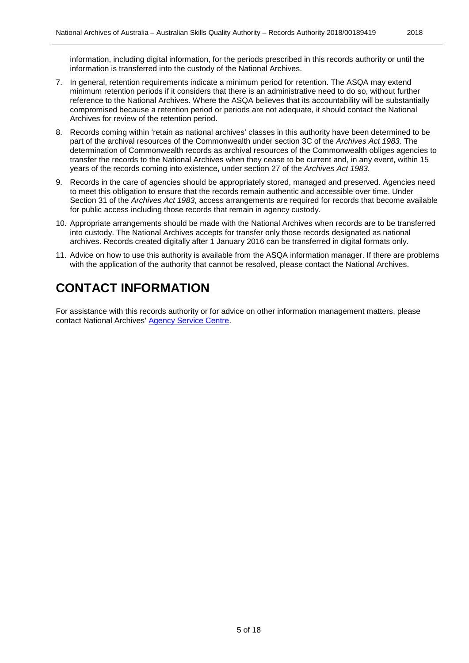information, including digital information, for the periods prescribed in this records authority or until the information is transferred into the custody of the National Archives.

- 7. In general, retention requirements indicate a minimum period for retention. The ASQA may extend minimum retention periods if it considers that there is an administrative need to do so, without further reference to the National Archives. Where the ASQA believes that its accountability will be substantially compromised because a retention period or periods are not adequate, it should contact the National Archives for review of the retention period.
- 8. Records coming within 'retain as national archives' classes in this authority have been determined to be part of the archival resources of the Commonwealth under section 3C of the *Archives Act 1983*. The determination of Commonwealth records as archival resources of the Commonwealth obliges agencies to transfer the records to the National Archives when they cease to be current and, in any event, within 15 years of the records coming into existence, under section 27 of the *Archives Act 1983*.
- 9. Records in the care of agencies should be appropriately stored, managed and preserved. Agencies need to meet this obligation to ensure that the records remain authentic and accessible over time. Under Section 31 of the *Archives Act 1983*, access arrangements are required for records that become available for public access including those records that remain in agency custody.
- 10. Appropriate arrangements should be made with the National Archives when records are to be transferred into custody. The National Archives accepts for transfer only those records designated as national archives. Records created digitally after 1 January 2016 can be transferred in digital formats only.
- 11. Advice on how to use this authority is available from the ASQA information manager. If there are problems with the application of the authority that cannot be resolved, please contact the National Archives.

# <span id="page-4-0"></span>**CONTACT INFORMATION**

For assistance with this records authority or for advice on other information management matters, please contact National Archives' [Agency Service Centre.](http://reftracker.naa.gov.au/reft100.aspx?key=ASC)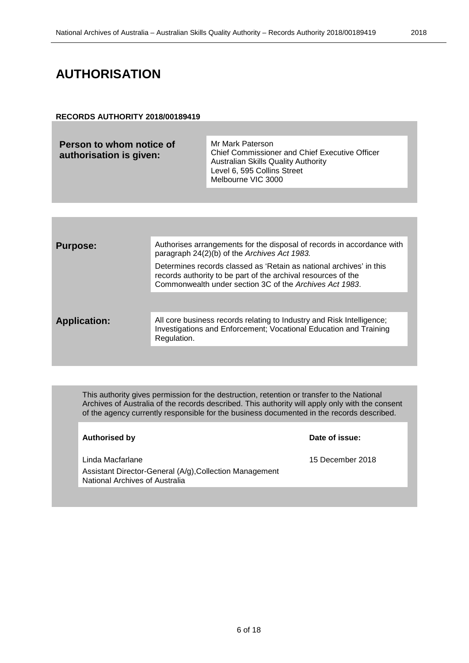### <span id="page-5-0"></span>**AUTHORISATION**

#### **RECORDS AUTHORITY 2018/00189419**

| Person to whom notice of<br>authorisation is given: | Mr Mark Paterson<br><b>Chief Commissioner and Chief Executive Officer</b><br>Australian Skills Quality Authority<br>Level 6, 595 Collins Street<br>Melbourne VIC 3000 |
|-----------------------------------------------------|-----------------------------------------------------------------------------------------------------------------------------------------------------------------------|
|                                                     |                                                                                                                                                                       |

| <b>Purpose:</b>     | Authorises arrangements for the disposal of records in accordance with<br>paragraph 24(2)(b) of the Archives Act 1983.                                                                          |
|---------------------|-------------------------------------------------------------------------------------------------------------------------------------------------------------------------------------------------|
|                     | Determines records classed as 'Retain as national archives' in this<br>records authority to be part of the archival resources of the<br>Commonwealth under section 3C of the Archives Act 1983. |
|                     |                                                                                                                                                                                                 |
| <b>Application:</b> | All core business records relating to Industry and Risk Intelligence;<br>Investigations and Enforcement; Vocational Education and Training<br>Regulation.                                       |
|                     |                                                                                                                                                                                                 |

This authority gives permission for the destruction, retention or transfer to the National Archives of Australia of the records described. This authority will apply only with the consent of the agency currently responsible for the business documented in the records described.

#### **Authorised by Date of issue:**

Linda Macfarlane 15 December 2018 Assistant Director-General (A/g),Collection Management National Archives of Australia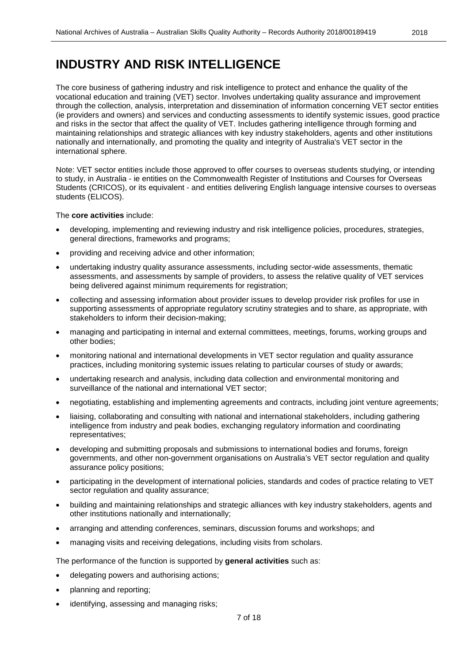<span id="page-6-0"></span>The core business of gathering industry and risk intelligence to protect and enhance the quality of the vocational education and training (VET) sector. Involves undertaking quality assurance and improvement through the collection, analysis, interpretation and dissemination of information concerning VET sector entities (ie providers and owners) and services and conducting assessments to identify systemic issues, good practice and risks in the sector that affect the quality of VET. Includes gathering intelligence through forming and maintaining relationships and strategic alliances with key industry stakeholders, agents and other institutions nationally and internationally, and promoting the quality and integrity of Australia's VET sector in the international sphere.

Note: VET sector entities include those approved to offer courses to overseas students studying, or intending to study, in Australia - ie entities on the Commonwealth Register of Institutions and Courses for Overseas Students (CRICOS), or its equivalent - and entities delivering English language intensive courses to overseas students (ELICOS).

The **core activities** include:

- developing, implementing and reviewing industry and risk intelligence policies, procedures, strategies, general directions, frameworks and programs;
- providing and receiving advice and other information;
- undertaking industry quality assurance assessments, including sector-wide assessments, thematic assessments, and assessments by sample of providers, to assess the relative quality of VET services being delivered against minimum requirements for registration;
- collecting and assessing information about provider issues to develop provider risk profiles for use in supporting assessments of appropriate regulatory scrutiny strategies and to share, as appropriate, with stakeholders to inform their decision-making;
- managing and participating in internal and external committees, meetings, forums, working groups and other bodies;
- monitoring national and international developments in VET sector regulation and quality assurance practices, including monitoring systemic issues relating to particular courses of study or awards;
- undertaking research and analysis, including data collection and environmental monitoring and surveillance of the national and international VET sector;
- negotiating, establishing and implementing agreements and contracts, including joint venture agreements;
- liaising, collaborating and consulting with national and international stakeholders, including gathering intelligence from industry and peak bodies, exchanging regulatory information and coordinating representatives;
- developing and submitting proposals and submissions to international bodies and forums, foreign governments, and other non-government organisations on Australia's VET sector regulation and quality assurance policy positions;
- participating in the development of international policies, standards and codes of practice relating to VET sector regulation and quality assurance;
- building and maintaining relationships and strategic alliances with key industry stakeholders, agents and other institutions nationally and internationally;
- arranging and attending conferences, seminars, discussion forums and workshops; and
- managing visits and receiving delegations, including visits from scholars.

The performance of the function is supported by **general activities** such as:

- delegating powers and authorising actions;
- planning and reporting;
- identifying, assessing and managing risks;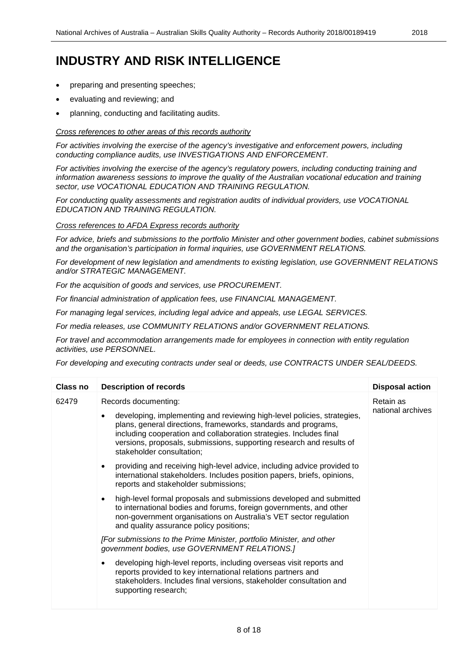- preparing and presenting speeches;
- evaluating and reviewing; and
- planning, conducting and facilitating audits.

#### *Cross references to other areas of this records authority*

*For activities involving the exercise of the agency's investigative and enforcement powers, including conducting compliance audits, use INVESTIGATIONS AND ENFORCEMENT.* 

*For activities involving the exercise of the agency's regulatory powers, including conducting training and information awareness sessions to improve the quality of the Australian vocational education and training sector, use VOCATIONAL EDUCATION AND TRAINING REGULATION.*

*For conducting quality assessments and registration audits of individual providers, use VOCATIONAL EDUCATION AND TRAINING REGULATION.*

#### *Cross references to AFDA Express records authority*

*For advice, briefs and submissions to the portfolio Minister and other government bodies, cabinet submissions and the organisation's participation in formal inquiries, use GOVERNMENT RELATIONS.* 

*For development of new legislation and amendments to existing legislation, use GOVERNMENT RELATIONS and/or STRATEGIC MANAGEMENT.* 

*For the acquisition of goods and services, use PROCUREMENT.* 

*For financial administration of application fees, use FINANCIAL MANAGEMENT.* 

*For managing legal services, including legal advice and appeals, use LEGAL SERVICES.* 

*For media releases, use COMMUNITY RELATIONS and/or GOVERNMENT RELATIONS.* 

*For travel and accommodation arrangements made for employees in connection with entity regulation activities, use PERSONNEL.*

*For developing and executing contracts under seal or deeds, use CONTRACTS UNDER SEAL/DEEDS.* 

| <b>Class no</b> | <b>Description of records</b>                                                                                                                                                                                                                                                                                                                | <b>Disposal action</b>         |
|-----------------|----------------------------------------------------------------------------------------------------------------------------------------------------------------------------------------------------------------------------------------------------------------------------------------------------------------------------------------------|--------------------------------|
| 62479           | Records documenting:<br>developing, implementing and reviewing high-level policies, strategies,<br>plans, general directions, frameworks, standards and programs,<br>including cooperation and collaboration strategies. Includes final<br>versions, proposals, submissions, supporting research and results of<br>stakeholder consultation; | Retain as<br>national archives |
|                 | providing and receiving high-level advice, including advice provided to<br>$\bullet$<br>international stakeholders. Includes position papers, briefs, opinions,<br>reports and stakeholder submissions;                                                                                                                                      |                                |
|                 | high-level formal proposals and submissions developed and submitted<br>to international bodies and forums, foreign governments, and other<br>non-government organisations on Australia's VET sector regulation<br>and quality assurance policy positions;                                                                                    |                                |
|                 | [For submissions to the Prime Minister, portfolio Minister, and other<br>government bodies, use GOVERNMENT RELATIONS.]                                                                                                                                                                                                                       |                                |
|                 | developing high-level reports, including overseas visit reports and<br>reports provided to key international relations partners and<br>stakeholders. Includes final versions, stakeholder consultation and<br>supporting research;                                                                                                           |                                |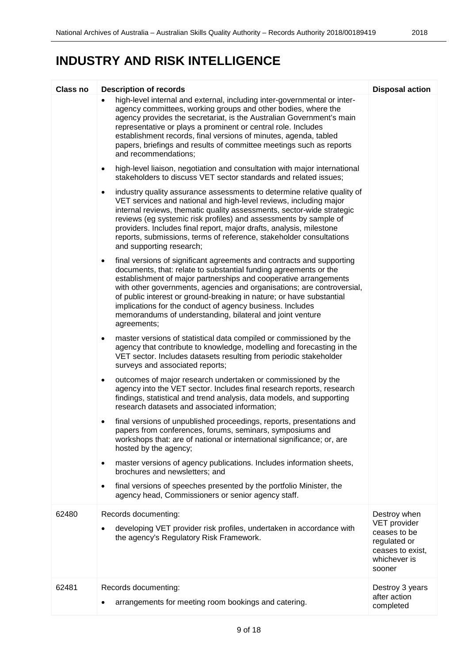| <b>Class no</b> | <b>Description of records</b>                                                                                                                                                                                                                                                                                                                                                                                                                                                                                         | <b>Disposal action</b>                                                                     |
|-----------------|-----------------------------------------------------------------------------------------------------------------------------------------------------------------------------------------------------------------------------------------------------------------------------------------------------------------------------------------------------------------------------------------------------------------------------------------------------------------------------------------------------------------------|--------------------------------------------------------------------------------------------|
|                 | high-level internal and external, including inter-governmental or inter-<br>agency committees, working groups and other bodies, where the<br>agency provides the secretariat, is the Australian Government's main<br>representative or plays a prominent or central role. Includes<br>establishment records, final versions of minutes, agenda, tabled<br>papers, briefings and results of committee meetings such as reports<br>and recommendations;                                                                 |                                                                                            |
|                 | high-level liaison, negotiation and consultation with major international<br>٠<br>stakeholders to discuss VET sector standards and related issues;                                                                                                                                                                                                                                                                                                                                                                    |                                                                                            |
|                 | industry quality assurance assessments to determine relative quality of<br>$\bullet$<br>VET services and national and high-level reviews, including major<br>internal reviews, thematic quality assessments, sector-wide strategic<br>reviews (eg systemic risk profiles) and assessments by sample of<br>providers. Includes final report, major drafts, analysis, milestone<br>reports, submissions, terms of reference, stakeholder consultations<br>and supporting research;                                      |                                                                                            |
|                 | final versions of significant agreements and contracts and supporting<br>$\bullet$<br>documents, that: relate to substantial funding agreements or the<br>establishment of major partnerships and cooperative arrangements<br>with other governments, agencies and organisations; are controversial,<br>of public interest or ground-breaking in nature; or have substantial<br>implications for the conduct of agency business. Includes<br>memorandums of understanding, bilateral and joint venture<br>agreements; |                                                                                            |
|                 | master versions of statistical data compiled or commissioned by the<br>$\bullet$<br>agency that contribute to knowledge, modelling and forecasting in the<br>VET sector. Includes datasets resulting from periodic stakeholder<br>surveys and associated reports;                                                                                                                                                                                                                                                     |                                                                                            |
|                 | outcomes of major research undertaken or commissioned by the<br>$\bullet$<br>agency into the VET sector. Includes final research reports, research<br>findings, statistical and trend analysis, data models, and supporting<br>research datasets and associated information;                                                                                                                                                                                                                                          |                                                                                            |
|                 | final versions of unpublished proceedings, reports, presentations and<br>papers from conferences, forums, seminars, symposiums and<br>workshops that: are of national or international significance; or, are<br>hosted by the agency;                                                                                                                                                                                                                                                                                 |                                                                                            |
|                 | master versions of agency publications. Includes information sheets,<br>$\bullet$<br>brochures and newsletters; and                                                                                                                                                                                                                                                                                                                                                                                                   |                                                                                            |
|                 | final versions of speeches presented by the portfolio Minister, the<br>$\bullet$<br>agency head, Commissioners or senior agency staff.                                                                                                                                                                                                                                                                                                                                                                                |                                                                                            |
| 62480           | Records documenting:                                                                                                                                                                                                                                                                                                                                                                                                                                                                                                  | Destroy when                                                                               |
|                 | developing VET provider risk profiles, undertaken in accordance with<br>the agency's Regulatory Risk Framework.                                                                                                                                                                                                                                                                                                                                                                                                       | VET provider<br>ceases to be<br>regulated or<br>ceases to exist,<br>whichever is<br>sooner |
| 62481           | Records documenting:<br>arrangements for meeting room bookings and catering.                                                                                                                                                                                                                                                                                                                                                                                                                                          | Destroy 3 years<br>after action<br>completed                                               |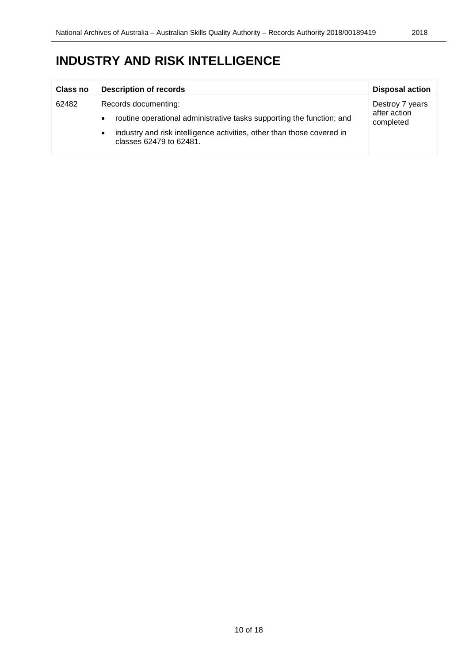| Class no           | <b>Description of records</b>                                                                                  | <b>Disposal action</b>    |
|--------------------|----------------------------------------------------------------------------------------------------------------|---------------------------|
| 62482<br>$\bullet$ | Records documenting:                                                                                           | Destroy 7 years           |
|                    | routine operational administrative tasks supporting the function; and                                          | after action<br>completed |
|                    | industry and risk intelligence activities, other than those covered in<br>$\bullet$<br>classes 62479 to 62481. |                           |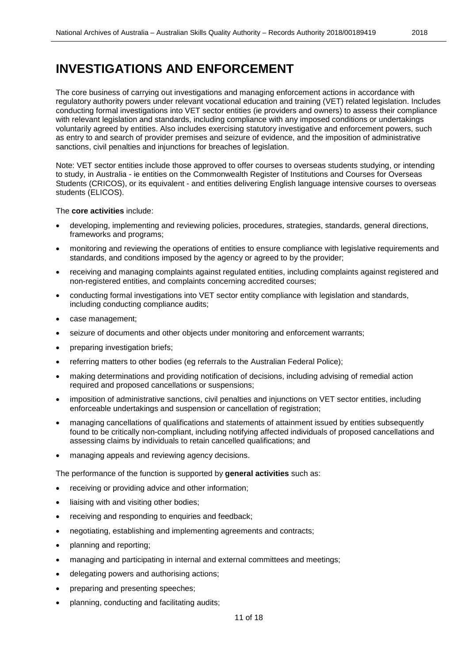### <span id="page-10-0"></span>**INVESTIGATIONS AND ENFORCEMENT**

The core business of carrying out investigations and managing enforcement actions in accordance with regulatory authority powers under relevant vocational education and training (VET) related legislation. Includes conducting formal investigations into VET sector entities (ie providers and owners) to assess their compliance with relevant legislation and standards, including compliance with any imposed conditions or undertakings voluntarily agreed by entities. Also includes exercising statutory investigative and enforcement powers, such as entry to and search of provider premises and seizure of evidence, and the imposition of administrative sanctions, civil penalties and injunctions for breaches of legislation.

Note: VET sector entities include those approved to offer courses to overseas students studying, or intending to study, in Australia - ie entities on the Commonwealth Register of Institutions and Courses for Overseas Students (CRICOS), or its equivalent - and entities delivering English language intensive courses to overseas students (ELICOS).

The **core activities** include:

- developing, implementing and reviewing policies, procedures, strategies, standards, general directions, frameworks and programs;
- monitoring and reviewing the operations of entities to ensure compliance with legislative requirements and standards, and conditions imposed by the agency or agreed to by the provider;
- receiving and managing complaints against regulated entities, including complaints against registered and non-registered entities, and complaints concerning accredited courses;
- conducting formal investigations into VET sector entity compliance with legislation and standards, including conducting compliance audits;
- case management;
- seizure of documents and other objects under monitoring and enforcement warrants;
- preparing investigation briefs;
- referring matters to other bodies (eg referrals to the Australian Federal Police);
- making determinations and providing notification of decisions, including advising of remedial action required and proposed cancellations or suspensions;
- imposition of administrative sanctions, civil penalties and injunctions on VET sector entities, including enforceable undertakings and suspension or cancellation of registration;
- managing cancellations of qualifications and statements of attainment issued by entities subsequently found to be critically non-compliant, including notifying affected individuals of proposed cancellations and assessing claims by individuals to retain cancelled qualifications; and
- managing appeals and reviewing agency decisions.

The performance of the function is supported by **general activities** such as:

- receiving or providing advice and other information;
- liaising with and visiting other bodies;
- receiving and responding to enquiries and feedback;
- negotiating, establishing and implementing agreements and contracts;
- planning and reporting;
- managing and participating in internal and external committees and meetings;
- delegating powers and authorising actions;
- preparing and presenting speeches;
- planning, conducting and facilitating audits;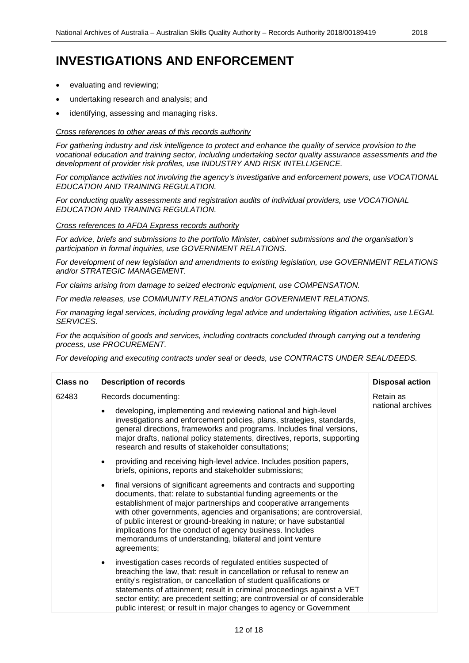## **INVESTIGATIONS AND ENFORCEMENT**

- evaluating and reviewing:
- undertaking research and analysis; and
- identifying, assessing and managing risks.

#### *Cross references to other areas of this records authority*

*For gathering industry and risk intelligence to protect and enhance the quality of service provision to the vocational education and training sector, including undertaking sector quality assurance assessments and the development of provider risk profiles, use INDUSTRY AND RISK INTELLIGENCE.*

*For compliance activities not involving the agency's investigative and enforcement powers, use VOCATIONAL EDUCATION AND TRAINING REGULATION.* 

*For conducting quality assessments and registration audits of individual providers, use VOCATIONAL EDUCATION AND TRAINING REGULATION.*

#### *Cross references to AFDA Express records authority*

*For advice, briefs and submissions to the portfolio Minister, cabinet submissions and the organisation's participation in formal inquiries, use GOVERNMENT RELATIONS.* 

*For development of new legislation and amendments to existing legislation, use GOVERNMENT RELATIONS and/or STRATEGIC MANAGEMENT.* 

*For claims arising from damage to seized electronic equipment, use COMPENSATION.* 

*For media releases, use COMMUNITY RELATIONS and/or GOVERNMENT RELATIONS.* 

*For managing legal services, including providing legal advice and undertaking litigation activities, use LEGAL SERVICES.* 

*For the acquisition of goods and services, including contracts concluded through carrying out a tendering process, use PROCUREMENT.* 

*For developing and executing contracts under seal or deeds, use CONTRACTS UNDER SEAL/DEEDS.*

| Class no | <b>Description of records</b>                                                                                                                                                                                                                                                                                                                                                                                                                                                                                  | <b>Disposal action</b>         |
|----------|----------------------------------------------------------------------------------------------------------------------------------------------------------------------------------------------------------------------------------------------------------------------------------------------------------------------------------------------------------------------------------------------------------------------------------------------------------------------------------------------------------------|--------------------------------|
| 62483    | Records documenting:<br>developing, implementing and reviewing national and high-level<br>investigations and enforcement policies, plans, strategies, standards,<br>general directions, frameworks and programs. Includes final versions,<br>major drafts, national policy statements, directives, reports, supporting<br>research and results of stakeholder consultations;<br>providing and receiving high-level advice. Includes position papers,<br>briefs, opinions, reports and stakeholder submissions; | Retain as<br>national archives |
|          | final versions of significant agreements and contracts and supporting<br>documents, that: relate to substantial funding agreements or the<br>establishment of major partnerships and cooperative arrangements<br>with other governments, agencies and organisations; are controversial,<br>of public interest or ground-breaking in nature; or have substantial<br>implications for the conduct of agency business. Includes<br>memorandums of understanding, bilateral and joint venture<br>agreements;       |                                |
|          | investigation cases records of regulated entities suspected of<br>breaching the law, that: result in cancellation or refusal to renew an<br>entity's registration, or cancellation of student qualifications or<br>statements of attainment; result in criminal proceedings against a VET<br>sector entity; are precedent setting; are controversial or of considerable<br>public interest; or result in major changes to agency or Government                                                                 |                                |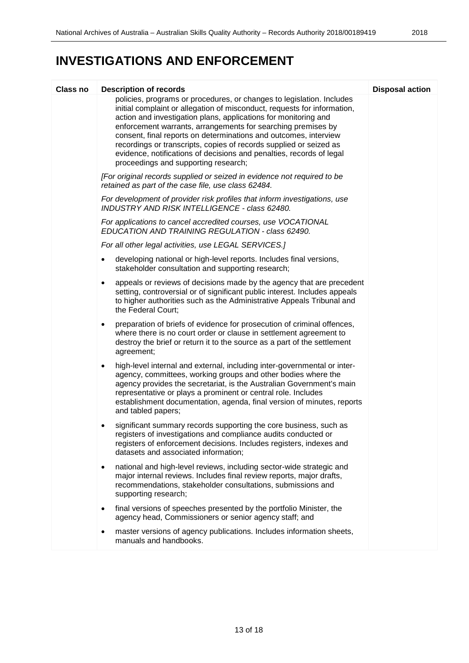| Class no | <b>Description of records</b>                                                                                                                                                                                                                                                                                                                                                                                                                                                                                                                  | <b>Disposal action</b> |
|----------|------------------------------------------------------------------------------------------------------------------------------------------------------------------------------------------------------------------------------------------------------------------------------------------------------------------------------------------------------------------------------------------------------------------------------------------------------------------------------------------------------------------------------------------------|------------------------|
|          | policies, programs or procedures, or changes to legislation. Includes<br>initial complaint or allegation of misconduct, requests for information,<br>action and investigation plans, applications for monitoring and<br>enforcement warrants, arrangements for searching premises by<br>consent, final reports on determinations and outcomes, interview<br>recordings or transcripts, copies of records supplied or seized as<br>evidence, notifications of decisions and penalties, records of legal<br>proceedings and supporting research; |                        |
|          | [For original records supplied or seized in evidence not required to be<br>retained as part of the case file, use class 62484.                                                                                                                                                                                                                                                                                                                                                                                                                 |                        |
|          | For development of provider risk profiles that inform investigations, use<br>INDUSTRY AND RISK INTELLIGENCE - class 62480.                                                                                                                                                                                                                                                                                                                                                                                                                     |                        |
|          | For applications to cancel accredited courses, use VOCATIONAL<br>EDUCATION AND TRAINING REGULATION - class 62490.                                                                                                                                                                                                                                                                                                                                                                                                                              |                        |
|          | For all other legal activities, use LEGAL SERVICES.]                                                                                                                                                                                                                                                                                                                                                                                                                                                                                           |                        |
|          | developing national or high-level reports. Includes final versions,<br>$\bullet$<br>stakeholder consultation and supporting research;                                                                                                                                                                                                                                                                                                                                                                                                          |                        |
|          | appeals or reviews of decisions made by the agency that are precedent<br>$\bullet$<br>setting, controversial or of significant public interest. Includes appeals<br>to higher authorities such as the Administrative Appeals Tribunal and<br>the Federal Court;                                                                                                                                                                                                                                                                                |                        |
|          | preparation of briefs of evidence for prosecution of criminal offences,<br>$\bullet$<br>where there is no court order or clause in settlement agreement to<br>destroy the brief or return it to the source as a part of the settlement<br>agreement;                                                                                                                                                                                                                                                                                           |                        |
|          | high-level internal and external, including inter-governmental or inter-<br>$\bullet$<br>agency, committees, working groups and other bodies where the<br>agency provides the secretariat, is the Australian Government's main<br>representative or plays a prominent or central role. Includes<br>establishment documentation, agenda, final version of minutes, reports<br>and tabled papers;                                                                                                                                                |                        |
|          | significant summary records supporting the core business, such as<br>registers of investigations and compliance audits conducted or<br>registers of enforcement decisions. Includes registers, indexes and<br>datasets and associated information;                                                                                                                                                                                                                                                                                             |                        |
|          | national and high-level reviews, including sector-wide strategic and<br>٠<br>major internal reviews. Includes final review reports, major drafts,<br>recommendations, stakeholder consultations, submissions and<br>supporting research;                                                                                                                                                                                                                                                                                                       |                        |
|          | final versions of speeches presented by the portfolio Minister, the<br>$\bullet$<br>agency head, Commissioners or senior agency staff; and                                                                                                                                                                                                                                                                                                                                                                                                     |                        |
|          | master versions of agency publications. Includes information sheets,<br>٠<br>manuals and handbooks.                                                                                                                                                                                                                                                                                                                                                                                                                                            |                        |
|          |                                                                                                                                                                                                                                                                                                                                                                                                                                                                                                                                                |                        |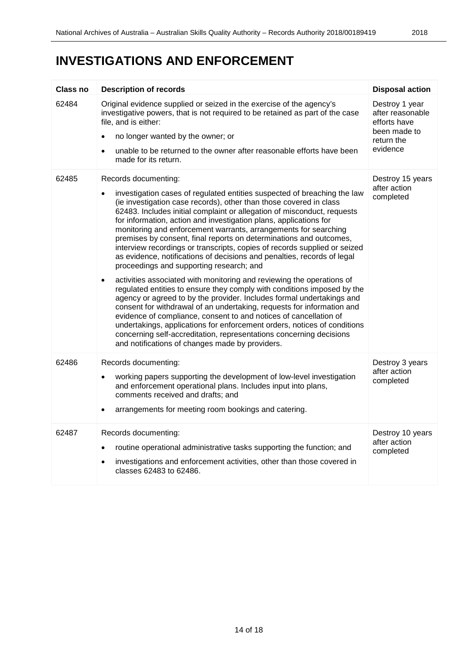# **INVESTIGATIONS AND ENFORCEMENT**

| <b>Class no</b> | <b>Description of records</b>                                                                                                                                                                                                                                                                                                                                                                                                                                                                                                                                                                                                                                                                                                                                                                                                                                                                                                                                                                                                                                                                                                                                                                                                                                      | <b>Disposal action</b>                                                                       |
|-----------------|--------------------------------------------------------------------------------------------------------------------------------------------------------------------------------------------------------------------------------------------------------------------------------------------------------------------------------------------------------------------------------------------------------------------------------------------------------------------------------------------------------------------------------------------------------------------------------------------------------------------------------------------------------------------------------------------------------------------------------------------------------------------------------------------------------------------------------------------------------------------------------------------------------------------------------------------------------------------------------------------------------------------------------------------------------------------------------------------------------------------------------------------------------------------------------------------------------------------------------------------------------------------|----------------------------------------------------------------------------------------------|
| 62484           | Original evidence supplied or seized in the exercise of the agency's<br>investigative powers, that is not required to be retained as part of the case<br>file, and is either:<br>no longer wanted by the owner; or<br>unable to be returned to the owner after reasonable efforts have been<br>٠<br>made for its return.                                                                                                                                                                                                                                                                                                                                                                                                                                                                                                                                                                                                                                                                                                                                                                                                                                                                                                                                           | Destroy 1 year<br>after reasonable<br>efforts have<br>been made to<br>return the<br>evidence |
| 62485           | Records documenting:<br>investigation cases of regulated entities suspected of breaching the law<br>(ie investigation case records), other than those covered in class<br>62483. Includes initial complaint or allegation of misconduct, requests<br>for information, action and investigation plans, applications for<br>monitoring and enforcement warrants, arrangements for searching<br>premises by consent, final reports on determinations and outcomes,<br>interview recordings or transcripts, copies of records supplied or seized<br>as evidence, notifications of decisions and penalties, records of legal<br>proceedings and supporting research; and<br>activities associated with monitoring and reviewing the operations of<br>$\bullet$<br>regulated entities to ensure they comply with conditions imposed by the<br>agency or agreed to by the provider. Includes formal undertakings and<br>consent for withdrawal of an undertaking, requests for information and<br>evidence of compliance, consent to and notices of cancellation of<br>undertakings, applications for enforcement orders, notices of conditions<br>concerning self-accreditation, representations concerning decisions<br>and notifications of changes made by providers. | Destroy 15 years<br>after action<br>completed                                                |
| 62486           | Records documenting:<br>working papers supporting the development of low-level investigation<br>and enforcement operational plans. Includes input into plans,<br>comments received and drafts; and<br>arrangements for meeting room bookings and catering.                                                                                                                                                                                                                                                                                                                                                                                                                                                                                                                                                                                                                                                                                                                                                                                                                                                                                                                                                                                                         | Destroy 3 years<br>after action<br>completed                                                 |
| 62487           | Records documenting:<br>routine operational administrative tasks supporting the function; and<br>$\bullet$<br>investigations and enforcement activities, other than those covered in<br>classes 62483 to 62486.                                                                                                                                                                                                                                                                                                                                                                                                                                                                                                                                                                                                                                                                                                                                                                                                                                                                                                                                                                                                                                                    | Destroy 10 years<br>after action<br>completed                                                |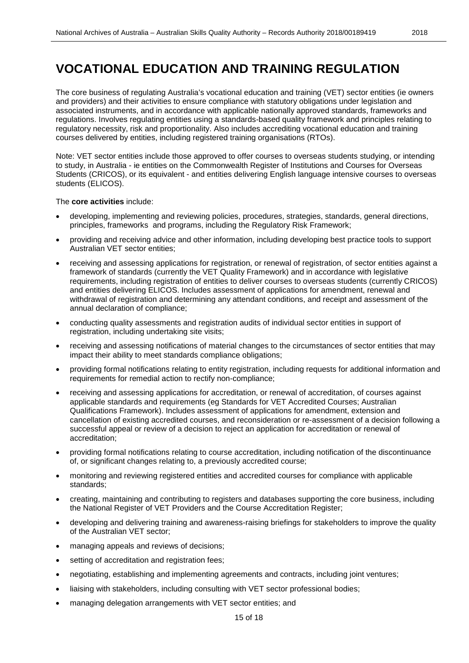### <span id="page-14-0"></span>**VOCATIONAL EDUCATION AND TRAINING REGULATION**

The core business of regulating Australia's vocational education and training (VET) sector entities (ie owners and providers) and their activities to ensure compliance with statutory obligations under legislation and associated instruments, and in accordance with applicable nationally approved standards, frameworks and regulations. Involves regulating entities using a standards-based quality framework and principles relating to regulatory necessity, risk and proportionality. Also includes accrediting vocational education and training courses delivered by entities, including registered training organisations (RTOs).

Note: VET sector entities include those approved to offer courses to overseas students studying, or intending to study, in Australia - ie entities on the Commonwealth Register of Institutions and Courses for Overseas Students (CRICOS), or its equivalent - and entities delivering English language intensive courses to overseas students (ELICOS).

The **core activities** include:

- developing, implementing and reviewing policies, procedures, strategies, standards, general directions, principles, frameworks and programs, including the Regulatory Risk Framework;
- providing and receiving advice and other information, including developing best practice tools to support Australian VET sector entities;
- receiving and assessing applications for registration, or renewal of registration, of sector entities against a framework of standards (currently the VET Quality Framework) and in accordance with legislative requirements, including registration of entities to deliver courses to overseas students (currently CRICOS) and entities delivering ELICOS. Includes assessment of applications for amendment, renewal and withdrawal of registration and determining any attendant conditions, and receipt and assessment of the annual declaration of compliance;
- conducting quality assessments and registration audits of individual sector entities in support of registration, including undertaking site visits;
- receiving and assessing notifications of material changes to the circumstances of sector entities that may impact their ability to meet standards compliance obligations;
- providing formal notifications relating to entity registration, including requests for additional information and requirements for remedial action to rectify non-compliance;
- receiving and assessing applications for accreditation, or renewal of accreditation, of courses against applicable standards and requirements (eg Standards for VET Accredited Courses; Australian Qualifications Framework). Includes assessment of applications for amendment, extension and cancellation of existing accredited courses, and reconsideration or re-assessment of a decision following a successful appeal or review of a decision to reject an application for accreditation or renewal of accreditation;
- providing formal notifications relating to course accreditation, including notification of the discontinuance of, or significant changes relating to, a previously accredited course;
- monitoring and reviewing registered entities and accredited courses for compliance with applicable standards;
- creating, maintaining and contributing to registers and databases supporting the core business, including the National Register of VET Providers and the Course Accreditation Register;
- developing and delivering training and awareness-raising briefings for stakeholders to improve the quality of the Australian VET sector;
- managing appeals and reviews of decisions;
- setting of accreditation and registration fees;
- negotiating, establishing and implementing agreements and contracts, including joint ventures;
- liaising with stakeholders, including consulting with VET sector professional bodies;
- managing delegation arrangements with VET sector entities; and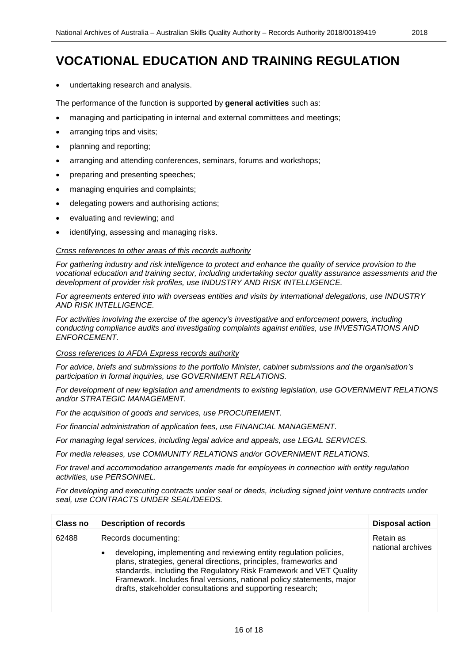• undertaking research and analysis.

The performance of the function is supported by **general activities** such as:

- managing and participating in internal and external committees and meetings;
- arranging trips and visits;
- planning and reporting;
- arranging and attending conferences, seminars, forums and workshops;
- preparing and presenting speeches;
- managing enquiries and complaints;
- delegating powers and authorising actions:
- evaluating and reviewing; and
- identifying, assessing and managing risks.

#### *Cross references to other areas of this records authority*

*For gathering industry and risk intelligence to protect and enhance the quality of service provision to the vocational education and training sector, including undertaking sector quality assurance assessments and the development of provider risk profiles, use INDUSTRY AND RISK INTELLIGENCE.*

*For agreements entered into with overseas entities and visits by international delegations, use INDUSTRY AND RISK INTELLIGENCE.* 

*For activities involving the exercise of the agency's investigative and enforcement powers, including conducting compliance audits and investigating complaints against entities, use INVESTIGATIONS AND ENFORCEMENT.*

#### *Cross references to AFDA Express records authority*

*For advice, briefs and submissions to the portfolio Minister, cabinet submissions and the organisation's participation in formal inquiries, use GOVERNMENT RELATIONS.* 

*For development of new legislation and amendments to existing legislation, use GOVERNMENT RELATIONS and/or STRATEGIC MANAGEMENT.* 

*For the acquisition of goods and services, use PROCUREMENT.* 

*For financial administration of application fees, use FINANCIAL MANAGEMENT.* 

*For managing legal services, including legal advice and appeals, use LEGAL SERVICES.* 

*For media releases, use COMMUNITY RELATIONS and/or GOVERNMENT RELATIONS.* 

*For travel and accommodation arrangements made for employees in connection with entity regulation activities, use PERSONNEL.*

*For developing and executing contracts under seal or deeds, including signed joint venture contracts under seal, use CONTRACTS UNDER SEAL/DEEDS.*

| Class no | <b>Description of records</b>                                                                                                                                                                                                                                                                                                                                                | <b>Disposal action</b>         |
|----------|------------------------------------------------------------------------------------------------------------------------------------------------------------------------------------------------------------------------------------------------------------------------------------------------------------------------------------------------------------------------------|--------------------------------|
| 62488    | Records documenting:<br>developing, implementing and reviewing entity regulation policies,<br>plans, strategies, general directions, principles, frameworks and<br>standards, including the Regulatory Risk Framework and VET Quality<br>Framework. Includes final versions, national policy statements, major<br>drafts, stakeholder consultations and supporting research; | Retain as<br>national archives |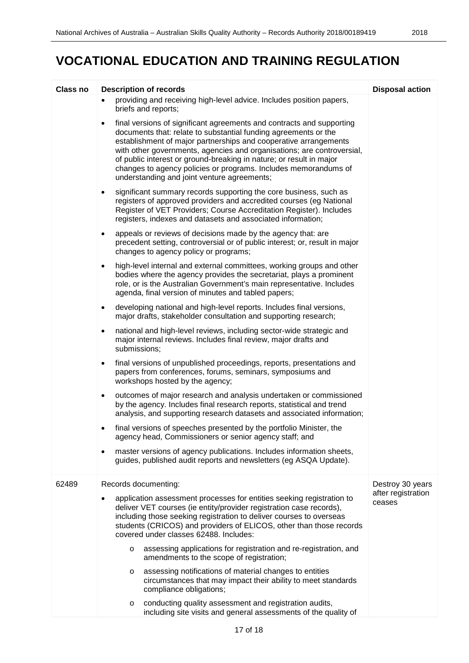# **VOCATIONAL EDUCATION AND TRAINING REGULATION**

| Class no | <b>Description of records</b>                                                                                                                                                                                                                                                                                                                                                                                                                                                                | <b>Disposal action</b>       |
|----------|----------------------------------------------------------------------------------------------------------------------------------------------------------------------------------------------------------------------------------------------------------------------------------------------------------------------------------------------------------------------------------------------------------------------------------------------------------------------------------------------|------------------------------|
|          | providing and receiving high-level advice. Includes position papers,<br>briefs and reports;                                                                                                                                                                                                                                                                                                                                                                                                  |                              |
|          | final versions of significant agreements and contracts and supporting<br>$\bullet$<br>documents that: relate to substantial funding agreements or the<br>establishment of major partnerships and cooperative arrangements<br>with other governments, agencies and organisations; are controversial,<br>of public interest or ground-breaking in nature; or result in major<br>changes to agency policies or programs. Includes memorandums of<br>understanding and joint venture agreements; |                              |
|          | significant summary records supporting the core business, such as<br>$\bullet$<br>registers of approved providers and accredited courses (eg National<br>Register of VET Providers; Course Accreditation Register). Includes<br>registers, indexes and datasets and associated information;                                                                                                                                                                                                  |                              |
|          | appeals or reviews of decisions made by the agency that: are<br>$\bullet$<br>precedent setting, controversial or of public interest; or, result in major<br>changes to agency policy or programs;                                                                                                                                                                                                                                                                                            |                              |
|          | high-level internal and external committees, working groups and other<br>$\bullet$<br>bodies where the agency provides the secretariat, plays a prominent<br>role, or is the Australian Government's main representative. Includes<br>agenda, final version of minutes and tabled papers;                                                                                                                                                                                                    |                              |
|          | developing national and high-level reports. Includes final versions,<br>$\bullet$<br>major drafts, stakeholder consultation and supporting research;                                                                                                                                                                                                                                                                                                                                         |                              |
|          | national and high-level reviews, including sector-wide strategic and<br>$\bullet$<br>major internal reviews. Includes final review, major drafts and<br>submissions;                                                                                                                                                                                                                                                                                                                         |                              |
|          | final versions of unpublished proceedings, reports, presentations and<br>$\bullet$<br>papers from conferences, forums, seminars, symposiums and<br>workshops hosted by the agency;                                                                                                                                                                                                                                                                                                           |                              |
|          | outcomes of major research and analysis undertaken or commissioned<br>$\bullet$<br>by the agency. Includes final research reports, statistical and trend<br>analysis, and supporting research datasets and associated information;                                                                                                                                                                                                                                                           |                              |
|          | final versions of speeches presented by the portfolio Minister, the<br>٠<br>agency head, Commissioners or senior agency staff; and                                                                                                                                                                                                                                                                                                                                                           |                              |
|          | master versions of agency publications. Includes information sheets,<br>$\bullet$<br>guides, published audit reports and newsletters (eg ASQA Update).                                                                                                                                                                                                                                                                                                                                       |                              |
| 62489    | Records documenting:                                                                                                                                                                                                                                                                                                                                                                                                                                                                         | Destroy 30 years             |
|          | application assessment processes for entities seeking registration to<br>deliver VET courses (ie entity/provider registration case records),<br>including those seeking registration to deliver courses to overseas<br>students (CRICOS) and providers of ELICOS, other than those records<br>covered under classes 62488. Includes:                                                                                                                                                         | after registration<br>ceases |
|          | assessing applications for registration and re-registration, and<br>$\circ$<br>amendments to the scope of registration;                                                                                                                                                                                                                                                                                                                                                                      |                              |
|          | assessing notifications of material changes to entities<br>$\circ$<br>circumstances that may impact their ability to meet standards<br>compliance obligations;                                                                                                                                                                                                                                                                                                                               |                              |
|          | conducting quality assessment and registration audits,<br>O<br>including site visits and general assessments of the quality of                                                                                                                                                                                                                                                                                                                                                               |                              |